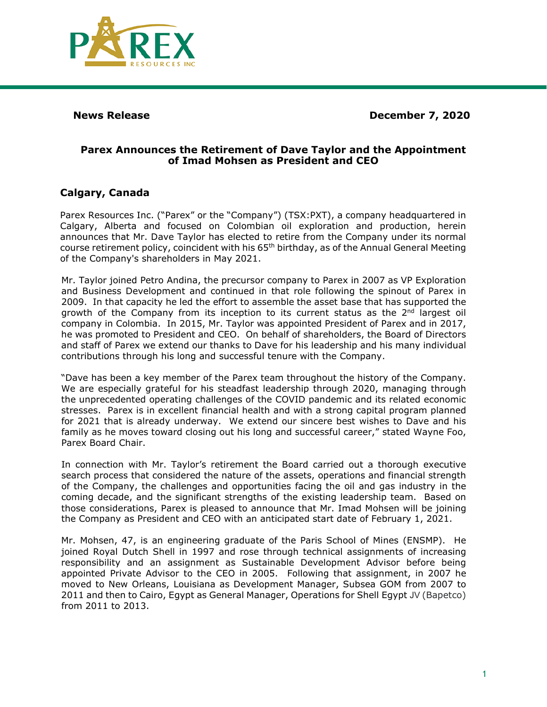

# **News Release December 7, 2020**

## **Parex Announces the Retirement of Dave Taylor and the Appointment of Imad Mohsen as President and CEO**

# **Calgary, Canada**

Parex Resources Inc. ("Parex" or the "Company") (TSX:PXT), a company headquartered in Calgary, Alberta and focused on Colombian oil exploration and production, herein announces that Mr. Dave Taylor has elected to retire from the Company under its normal course retirement policy, coincident with his  $65<sup>th</sup>$  birthday, as of the Annual General Meeting of the Company's shareholders in May 2021.

Mr. Taylor joined Petro Andina, the precursor company to Parex in 2007 as VP Exploration and Business Development and continued in that role following the spinout of Parex in 2009. In that capacity he led the effort to assemble the asset base that has supported the growth of the Company from its inception to its current status as the  $2<sup>nd</sup>$  largest oil company in Colombia. In 2015, Mr. Taylor was appointed President of Parex and in 2017, he was promoted to President and CEO. On behalf of shareholders, the Board of Directors and staff of Parex we extend our thanks to Dave for his leadership and his many individual contributions through his long and successful tenure with the Company.

"Dave has been a key member of the Parex team throughout the history of the Company. We are especially grateful for his steadfast leadership through 2020, managing through the unprecedented operating challenges of the COVID pandemic and its related economic stresses. Parex is in excellent financial health and with a strong capital program planned for 2021 that is already underway. We extend our sincere best wishes to Dave and his family as he moves toward closing out his long and successful career," stated Wayne Foo, Parex Board Chair.

In connection with Mr. Taylor's retirement the Board carried out a thorough executive search process that considered the nature of the assets, operations and financial strength of the Company, the challenges and opportunities facing the oil and gas industry in the coming decade, and the significant strengths of the existing leadership team. Based on those considerations, Parex is pleased to announce that Mr. Imad Mohsen will be joining the Company as President and CEO with an anticipated start date of February 1, 2021.

Mr. Mohsen, 47, is an engineering graduate of the Paris School of Mines (ENSMP). He joined Royal Dutch Shell in 1997 and rose through technical assignments of increasing responsibility and an assignment as Sustainable Development Advisor before being appointed Private Advisor to the CEO in 2005. Following that assignment, in 2007 he moved to New Orleans, Louisiana as Development Manager, Subsea GOM from 2007 to 2011 and then to Cairo, Egypt as General Manager, Operations for Shell Egypt JV (Bapetco) from 2011 to 2013.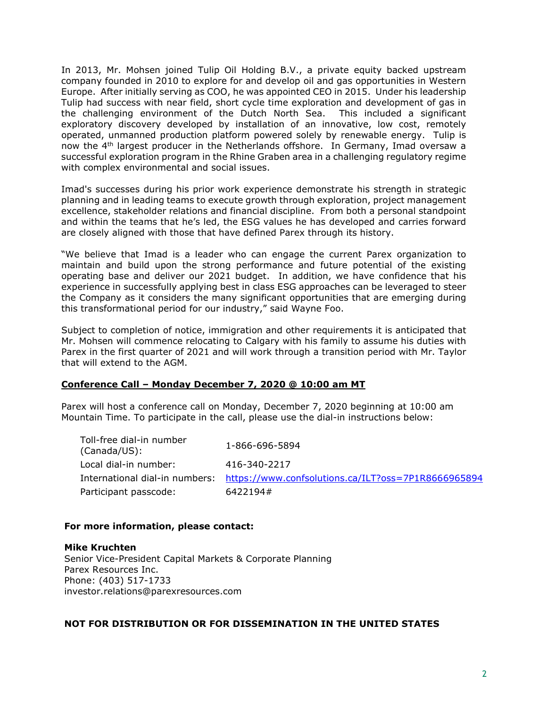In 2013, Mr. Mohsen joined Tulip Oil Holding B.V., a private equity backed upstream company founded in 2010 to explore for and develop oil and gas opportunities in Western Europe. After initially serving as COO, he was appointed CEO in 2015. Under his leadership Tulip had success with near field, short cycle time exploration and development of gas in the challenging environment of the Dutch North Sea. This included a significant exploratory discovery developed by installation of an innovative, low cost, remotely operated, unmanned production platform powered solely by renewable energy. Tulip is now the 4th largest producer in the Netherlands offshore. In Germany, Imad oversaw a successful exploration program in the Rhine Graben area in a challenging regulatory regime with complex environmental and social issues.

Imad's successes during his prior work experience demonstrate his strength in strategic planning and in leading teams to execute growth through exploration, project management excellence, stakeholder relations and financial discipline. From both a personal standpoint and within the teams that he's led, the ESG values he has developed and carries forward are closely aligned with those that have defined Parex through its history.

"We believe that Imad is a leader who can engage the current Parex organization to maintain and build upon the strong performance and future potential of the existing operating base and deliver our 2021 budget. In addition, we have confidence that his experience in successfully applying best in class ESG approaches can be leveraged to steer the Company as it considers the many significant opportunities that are emerging during this transformational period for our industry," said Wayne Foo.

Subject to completion of notice, immigration and other requirements it is anticipated that Mr. Mohsen will commence relocating to Calgary with his family to assume his duties with Parex in the first quarter of 2021 and will work through a transition period with Mr. Taylor that will extend to the AGM.

### **Conference Call – Monday December 7, 2020 @ 10:00 am MT**

Parex will host a conference call on Monday, December 7, 2020 beginning at 10:00 am Mountain Time. To participate in the call, please use the dial-in instructions below:

| Toll-free dial-in number<br>(Canada/US): | 1-866-696-5894                                      |
|------------------------------------------|-----------------------------------------------------|
| Local dial-in number:                    | 416-340-2217                                        |
| International dial-in numbers:           | https://www.confsolutions.ca/ILT?oss=7P1R8666965894 |
| Participant passcode:                    | 6422194#                                            |

### **For more information, please contact:**

**Mike Kruchten** Senior Vice-President Capital Markets & Corporate Planning Parex Resources Inc. Phone: (403) 517-1733 investor.relations@parexresources.com

### **NOT FOR DISTRIBUTION OR FOR DISSEMINATION IN THE UNITED STATES**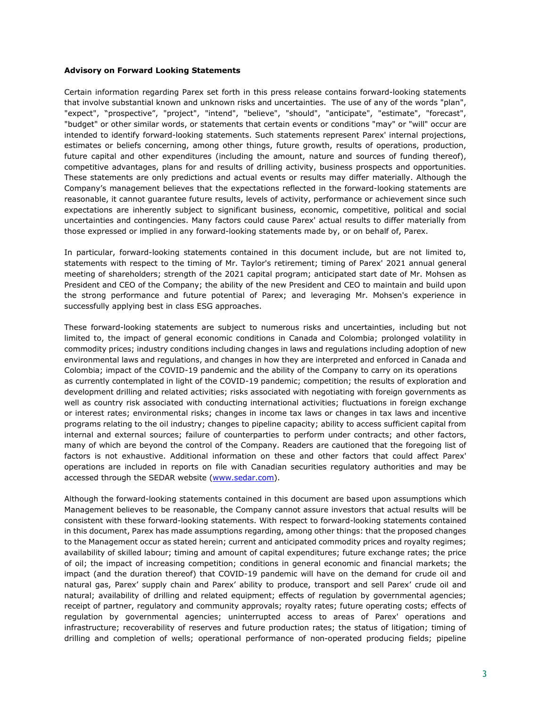#### **Advisory on Forward Looking Statements**

Certain information regarding Parex set forth in this press release contains forward-looking statements that involve substantial known and unknown risks and uncertainties. The use of any of the words "plan", "expect", "prospective", "project", "intend", "believe", "should", "anticipate", "estimate", "forecast", "budget" or other similar words, or statements that certain events or conditions "may" or "will" occur are intended to identify forward-looking statements. Such statements represent Parex' internal projections, estimates or beliefs concerning, among other things, future growth, results of operations, production, future capital and other expenditures (including the amount, nature and sources of funding thereof), competitive advantages, plans for and results of drilling activity, business prospects and opportunities. These statements are only predictions and actual events or results may differ materially. Although the Company's management believes that the expectations reflected in the forward-looking statements are reasonable, it cannot guarantee future results, levels of activity, performance or achievement since such expectations are inherently subject to significant business, economic, competitive, political and social uncertainties and contingencies. Many factors could cause Parex' actual results to differ materially from those expressed or implied in any forward-looking statements made by, or on behalf of, Parex.

In particular, forward-looking statements contained in this document include, but are not limited to, statements with respect to the timing of Mr. Taylor's retirement; timing of Parex' 2021 annual general meeting of shareholders; strength of the 2021 capital program; anticipated start date of Mr. Mohsen as President and CEO of the Company; the ability of the new President and CEO to maintain and build upon the strong performance and future potential of Parex; and leveraging Mr. Mohsen's experience in successfully applying best in class ESG approaches.

These forward-looking statements are subject to numerous risks and uncertainties, including but not limited to, the impact of general economic conditions in Canada and Colombia; prolonged volatility in commodity prices; industry conditions including changes in laws and regulations including adoption of new environmental laws and regulations, and changes in how they are interpreted and enforced in Canada and Colombia; impact of the COVID-19 pandemic and the ability of the Company to carry on its operations as currently contemplated in light of the COVID-19 pandemic; competition; the results of exploration and development drilling and related activities; risks associated with negotiating with foreign governments as well as country risk associated with conducting international activities; fluctuations in foreign exchange or interest rates; environmental risks; changes in income tax laws or changes in tax laws and incentive programs relating to the oil industry; changes to pipeline capacity; ability to access sufficient capital from internal and external sources; failure of counterparties to perform under contracts; and other factors, many of which are beyond the control of the Company. Readers are cautioned that the foregoing list of factors is not exhaustive. Additional information on these and other factors that could affect Parex' operations are included in reports on file with Canadian securities regulatory authorities and may be accessed through the SEDAR website [\(www.sedar.com\)](http://www.sedar.com/).

Although the forward-looking statements contained in this document are based upon assumptions which Management believes to be reasonable, the Company cannot assure investors that actual results will be consistent with these forward-looking statements. With respect to forward-looking statements contained in this document, Parex has made assumptions regarding, among other things: that the proposed changes to the Management occur as stated herein; current and anticipated commodity prices and royalty regimes; availability of skilled labour; timing and amount of capital expenditures; future exchange rates; the price of oil; the impact of increasing competition; conditions in general economic and financial markets; the impact (and the duration thereof) that COVID-19 pandemic will have on the demand for crude oil and natural gas, Parex' supply chain and Parex' ability to produce, transport and sell Parex' crude oil and natural; availability of drilling and related equipment; effects of regulation by governmental agencies; receipt of partner, regulatory and community approvals; royalty rates; future operating costs; effects of regulation by governmental agencies; uninterrupted access to areas of Parex' operations and infrastructure; recoverability of reserves and future production rates; the status of litigation; timing of drilling and completion of wells; operational performance of non-operated producing fields; pipeline